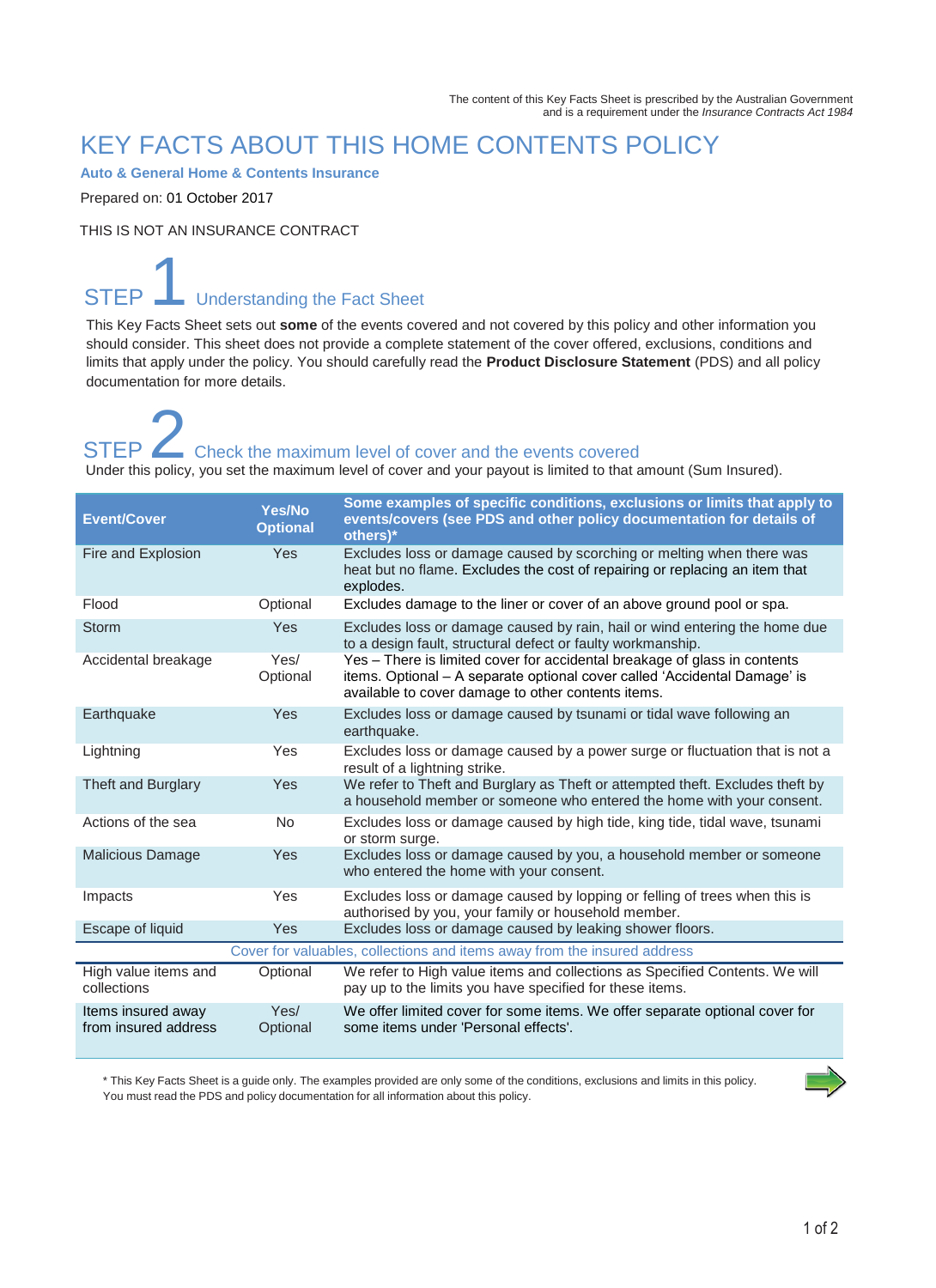### KEY FACTS ABOUT THIS HOME CONTENTS POLICY

**Auto & General Home & Contents Insurance**

Prepared on: 01 October 2017

THIS IS NOT AN INSURANCE CONTRACT

## **STEP** Understanding the Fact Sheet

This Key Facts Sheet sets out **some** of the events covered and not covered by this policy and other information you should consider. This sheet does not provide a complete statement of the cover offered, exclusions, conditions and limits that apply under the policy. You should carefully read the **Product Disclosure Statement** (PDS) and all policy documentation for more details.

### STEP **2** Check the maximum level of cover and the events covered Under this policy, you set the maximum level of cover and your payout is limited to that amount (Sum Insured).

| <b>Event/Cover</b>                                                       | <b>Yes/No</b><br><b>Optional</b> | Some examples of specific conditions, exclusions or limits that apply to<br>events/covers (see PDS and other policy documentation for details of<br>others)*                                                 |
|--------------------------------------------------------------------------|----------------------------------|--------------------------------------------------------------------------------------------------------------------------------------------------------------------------------------------------------------|
| Fire and Explosion                                                       | Yes                              | Excludes loss or damage caused by scorching or melting when there was<br>heat but no flame. Excludes the cost of repairing or replacing an item that<br>explodes.                                            |
| Flood                                                                    | Optional                         | Excludes damage to the liner or cover of an above ground pool or spa.                                                                                                                                        |
| Storm                                                                    | Yes                              | Excludes loss or damage caused by rain, hail or wind entering the home due<br>to a design fault, structural defect or faulty workmanship.                                                                    |
| Accidental breakage                                                      | Yes/<br>Optional                 | Yes - There is limited cover for accidental breakage of glass in contents<br>items. Optional - A separate optional cover called 'Accidental Damage' is<br>available to cover damage to other contents items. |
| Earthquake                                                               | Yes                              | Excludes loss or damage caused by tsunami or tidal wave following an<br>earthquake.                                                                                                                          |
| Lightning                                                                | Yes                              | Excludes loss or damage caused by a power surge or fluctuation that is not a<br>result of a lightning strike.                                                                                                |
| Theft and Burglary                                                       | Yes                              | We refer to Theft and Burglary as Theft or attempted theft. Excludes theft by<br>a household member or someone who entered the home with your consent.                                                       |
| Actions of the sea                                                       | <b>No</b>                        | Excludes loss or damage caused by high tide, king tide, tidal wave, tsunami<br>or storm surge.                                                                                                               |
| <b>Malicious Damage</b>                                                  | Yes                              | Excludes loss or damage caused by you, a household member or someone<br>who entered the home with your consent.                                                                                              |
| Impacts                                                                  | Yes                              | Excludes loss or damage caused by lopping or felling of trees when this is<br>authorised by you, your family or household member.                                                                            |
| Escape of liquid                                                         | Yes                              | Excludes loss or damage caused by leaking shower floors.                                                                                                                                                     |
| Cover for valuables, collections and items away from the insured address |                                  |                                                                                                                                                                                                              |
| High value items and<br>collections                                      | Optional                         | We refer to High value items and collections as Specified Contents. We will<br>pay up to the limits you have specified for these items.                                                                      |
| Items insured away<br>from insured address                               | Yes/<br>Optional                 | We offer limited cover for some items. We offer separate optional cover for<br>some items under 'Personal effects'.                                                                                          |

\* This Key Facts Sheet is a guide only. The examples provided are only some of the conditions, exclusions and limits in this policy. You must read the PDS and policy documentation for all information about this policy.